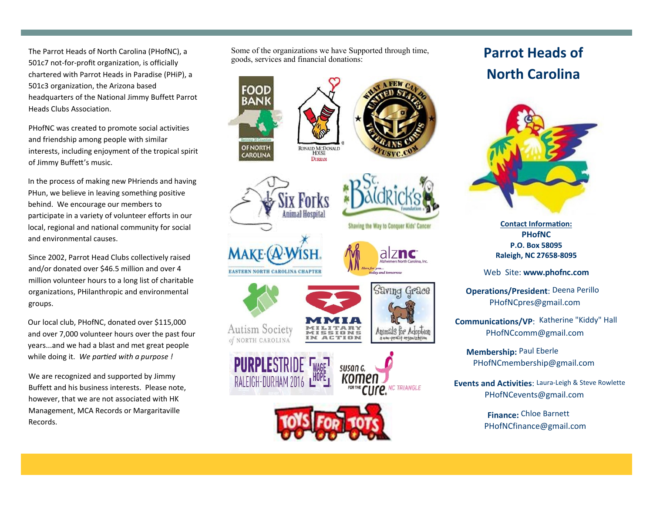The Parrot Heads of North Carolina (PHofNC), a 501c7 not-for-profit organization, is officially chartered with Parrot Heads in Paradise (PHiP), a 501c3 organization, the Arizona based headquarters of the National Jimmy Buffett Parrot Heads Clubs Association.

PHofNC was created to promote social activities and friendship among people with similar interests, including enjoyment of the tropical spirit of Jimmy Buffett's music.

In the process of making new PHriends and having PHun, we believe in leaving something positive behind. We encourage our members to participate in a variety of volunteer efforts in our local, regional and national community for social and environmental causes.

Since 2002, Parrot Head Clubs collectively raised and/or donated over \$46.5 million and over 4 million volunteer hours to a long list of charitable organizations, PHilanthropic and environmental groups.

Our local club, PHofNC, donated over \$115,000 and over 7,000 volunteer hours over the past four years...and we had a blast and met great people while doing it. *We partied with a purpose !*

We are recognized and supported by Jimmy Buffett and his business interests. Please note, however, that we are not associated with HK Management, MCA Records or Margaritaville Records.

Some of the organizations we have Supported through time, goods, services and financial donations:

















## Shaving the Way to Conquer Kids' Cancer aiznc

Web Site: **www.phofnc.com**

**PHofNC**

P.O. Box 58095

Raleigh, NC 27658-8095

**Operations/President**: Deena Perillo PHofNCpres@gmail.com

Communications/VP: Katherine "Kiddy" Hall PHofNCcomm@gmail.com

**Membership:** Paul Eberle PHofNCmembership@gmail.com

**Events and Activities: Laura-Leigh & Steve Rowlette** PHofNCevents@gmail.com

> **Finance:** Chloe Barnett PHofNCfinance@gmail.com

## **Parrot Heads of North Carolina**